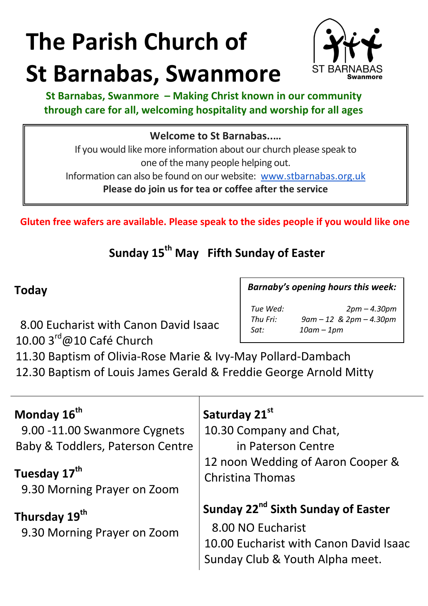# **The Parish Church of St Barnabas, Swanmore**



**St Barnabas, Swanmore – Making Christ known in our community through care for all, welcoming hospitality and worship for all ages**

#### **Welcome to St Barnabas..…**

If you would like more information about our church please speak to one of the many people helping out. Information can also be found on our website: [www.stbarnabas.org.uk](http://www.stbarnabas.org.uk/)

**Please do join us for tea or coffee after the service**

**Gluten free wafers are available. Please speak to the sides people if you would like one**

# **Sunday 15th May Fifth Sunday of Easter**

#### **Today**

 8.00 Eucharist with Canon David Isaac 10.00 3<sup>rd</sup>@10 Café Church

*Sat: 10am – 1pm*

*Tue Wed: 2pm – 4.30pm Thu Fri: 9am – 12 & 2pm – 4.30pm*

*Barnaby's opening hours this week:*

11.30 Baptism of Olivia-Rose Marie & Ivy-May Pollard-Dambach 12.30 Baptism of Louis James Gerald & Freddie George Arnold Mitty

| Monday 16 <sup>th</sup>                                  | Saturday 21st                                                                                                                                    |
|----------------------------------------------------------|--------------------------------------------------------------------------------------------------------------------------------------------------|
| 9.00 -11.00 Swanmore Cygnets                             | 10.30 Company and Chat,                                                                                                                          |
| Baby & Toddlers, Paterson Centre                         | in Paterson Centre                                                                                                                               |
| Tuesday 17 <sup>th</sup><br>9.30 Morning Prayer on Zoom  | 12 noon Wedding of Aaron Cooper &<br><b>Christina Thomas</b>                                                                                     |
| Thursday 19 <sup>th</sup><br>9.30 Morning Prayer on Zoom | Sunday 22 <sup>nd</sup> Sixth Sunday of Easter<br>8.00 NO Eucharist<br>10.00 Eucharist with Canon David Isaac<br>Sunday Club & Youth Alpha meet. |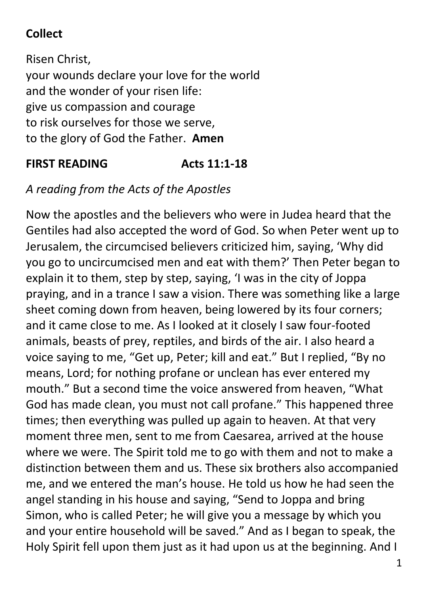### **Collect**

Risen Christ, your wounds declare your love for the world and the wonder of your risen life: give us compassion and courage to risk ourselves for those we serve, to the glory of God the Father. **Amen**

#### **FIRST READING Acts 11:1-18**

#### *A reading from the Acts of the Apostles*

Now the apostles and the believers who were in Judea heard that the Gentiles had also accepted the word of God. So when Peter went up to Jerusalem, the circumcised believers criticized him, saying, 'Why did you go to uncircumcised men and eat with them?' Then Peter began to explain it to them, step by step, saying, 'I was in the city of Joppa praying, and in a trance I saw a vision. There was something like a large sheet coming down from heaven, being lowered by its four corners; and it came close to me. As I looked at it closely I saw four-footed animals, beasts of prey, reptiles, and birds of the air. I also heard a voice saying to me, "Get up, Peter; kill and eat." But I replied, "By no means, Lord; for nothing profane or unclean has ever entered my mouth." But a second time the voice answered from heaven, "What God has made clean, you must not call profane." This happened three times; then everything was pulled up again to heaven. At that very moment three men, sent to me from Caesarea, arrived at the house where we were. The Spirit told me to go with them and not to make a distinction between them and us. These six brothers also accompanied me, and we entered the man's house. He told us how he had seen the angel standing in his house and saying, "Send to Joppa and bring Simon, who is called Peter; he will give you a message by which you and your entire household will be saved." And as I began to speak, the Holy Spirit fell upon them just as it had upon us at the beginning. And I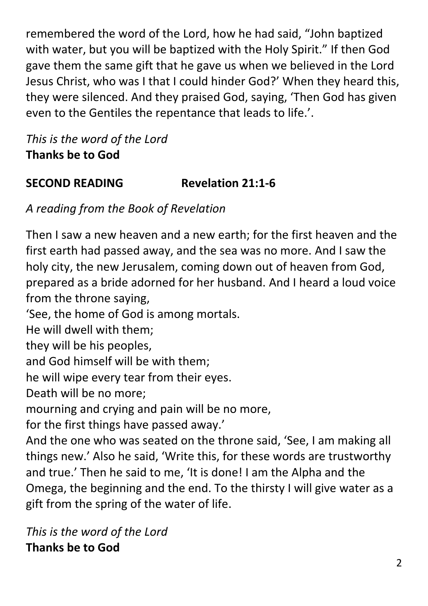remembered the word of the Lord, how he had said, "John baptized with water, but you will be baptized with the Holy Spirit." If then God gave them the same gift that he gave us when we believed in the Lord Jesus Christ, who was I that I could hinder God?' When they heard this, they were silenced. And they praised God, saying, 'Then God has given even to the Gentiles the repentance that leads to life.'.

*This is the word of the Lord* **Thanks be to God**

#### **SECOND READING Revelation 21:1-6**

*A reading from the Book of Revelation*

Then I saw a new heaven and a new earth; for the first heaven and the first earth had passed away, and the sea was no more. And I saw the holy city, the new Jerusalem, coming down out of heaven from God, prepared as a bride adorned for her husband. And I heard a loud voice from the throne saying, 'See, the home of God is among mortals. He will dwell with them; they will be his peoples, and God himself will be with them; he will wipe every tear from their eyes. Death will be no more; mourning and crying and pain will be no more, for the first things have passed away.' And the one who was seated on the throne said, 'See, I am making all things new.' Also he said, 'Write this, for these words are trustworthy and true.' Then he said to me, 'It is done! I am the Alpha and the Omega, the beginning and the end. To the thirsty I will give water as a

gift from the spring of the water of life.

*This is the word of the Lord* **Thanks be to God**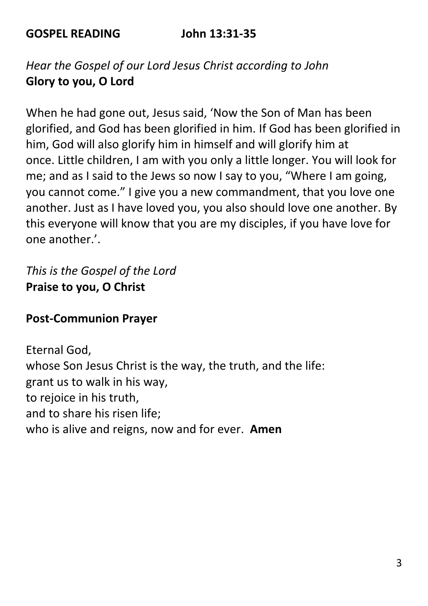**GOSPEL READING John 13:31-35**

*Hear the Gospel of our Lord Jesus Christ according to John* **Glory to you, O Lord**

When he had gone out, Jesus said, 'Now the Son of Man has been glorified, and God has been glorified in him. If God has been glorified in him, God will also glorify him in himself and will glorify him at once. Little children, I am with you only a little longer. You will look for me; and as I said to the Jews so now I say to you, "Where I am going, you cannot come." I give you a new commandment, that you love one another. Just as I have loved you, you also should love one another. By this everyone will know that you are my disciples, if you have love for one another.'.

*This is the Gospel of the Lord* **Praise to you, O Christ**

#### **Post-Communion Prayer**

Eternal God, whose Son Jesus Christ is the way, the truth, and the life: grant us to walk in his way, to rejoice in his truth, and to share his risen life; who is alive and reigns, now and for ever. **Amen**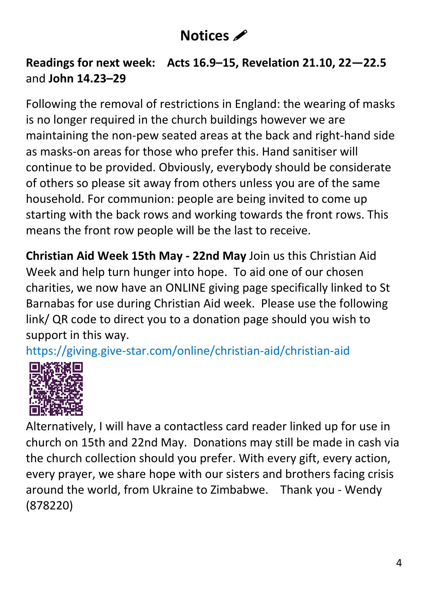# **Notices**

#### **Readings for next week: Acts 16.9–15, Revelation 21.10, 22—22.5** and **John 14.23–29**

Following the removal of restrictions in England: the wearing of masks is no longer required in the church buildings however we are maintaining the non-pew seated areas at the back and right-hand side as masks-on areas for those who prefer this. Hand sanitiser will continue to be provided. Obviously, everybody should be considerate of others so please sit away from others unless you are of the same household. For communion: people are being invited to come up starting with the back rows and working towards the front rows. This means the front row people will be the last to receive.

**Christian Aid Week 15th May - 22nd May** Join us this Christian Aid Week and help turn hunger into hope. To aid one of our chosen charities, we now have an ONLINE giving page specifically linked to St Barnabas for use during Christian Aid week. Please use the following link/ QR code to direct you to a donation page should you wish to support in this way.

<https://giving.give-star.com/online/christian-aid/christian-aid>



Alternatively, I will have a contactless card reader linked up for use in church on 15th and 22nd May. Donations may still be made in cash via the church collection should you prefer. With every gift, every action, every prayer, we share hope with our sisters and brothers facing crisis around the world, from Ukraine to Zimbabwe. Thank you - Wendy (878220)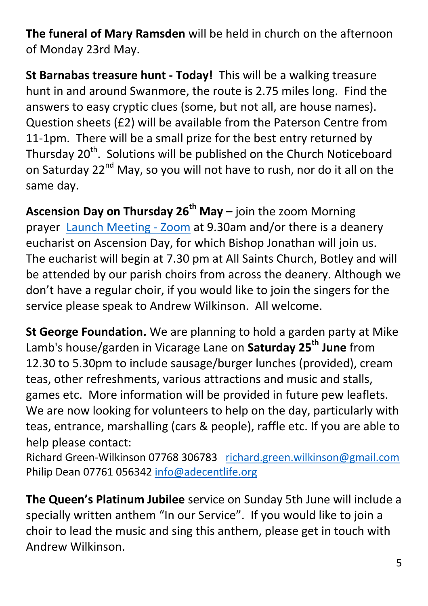**The funeral of Mary Ramsden** will be held in church on the afternoon of Monday 23rd May.

**St Barnabas treasure hunt - Today!** This will be a walking treasure hunt in and around Swanmore, the route is 2.75 miles long. Find the answers to easy cryptic clues (some, but not all, are house names). Question sheets (£2) will be available from the Paterson Centre from 11-1pm. There will be a small prize for the best entry returned by Thursday 20<sup>th</sup>. Solutions will be published on the Church Noticeboard on Saturday 22<sup>nd</sup> May, so you will not have to rush, nor do it all on the same day.

**Ascension Day on Thursday 26th May** – join the zoom Morning prayer [Launch Meeting -](https://us04web.zoom.us/j/72100025193?pwd=RyLvYHvAfkwydzCb2Q4iE6oM7JMQvp.1#success) Zoom at 9.30am and/or there is a deanery eucharist on Ascension Day, for which Bishop Jonathan will join us. The eucharist will begin at 7.30 pm at All Saints Church, Botley and will be attended by our parish choirs from across the deanery. Although we don't have a regular choir, if you would like to join the singers for the service please speak to Andrew Wilkinson. All welcome.

**St George Foundation.** We are planning to hold a garden party at Mike Lamb's house/garden in Vicarage Lane on **Saturday 25th June** from 12.30 to 5.30pm to include sausage/burger lunches (provided), cream teas, other refreshments, various attractions and music and stalls, games etc. More information will be provided in future pew leaflets. We are now looking for volunteers to help on the day, particularly with teas, entrance, marshalling (cars & people), raffle etc. If you are able to help please contact:

Richard Green-Wilkinson 07768 306783 [richard.green.wilkinson@gmail.com](mailto:richard.green.wilkinson@gmail.com) Philip Dean 07761 056342 [info@adecentlife.org](mailto:info@adecentlife.org)

**The Queen's Platinum Jubilee** service on Sunday 5th June will include a specially written anthem "In our Service". If you would like to join a choir to lead the music and sing this anthem, please get in touch with Andrew Wilkinson.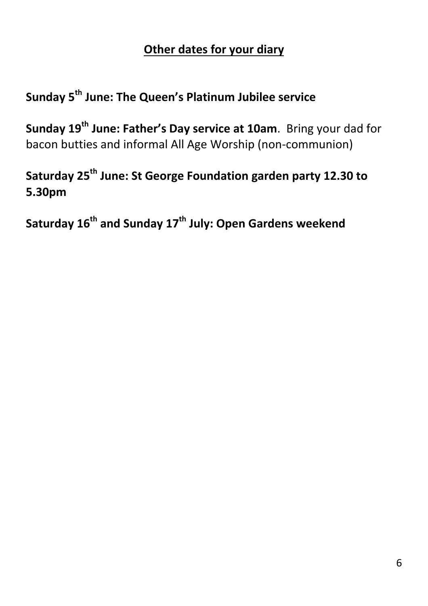#### **Other dates for your diary**

## **Sunday 5th June: The Queen's Platinum Jubilee service**

**Sunday 19th June: Father's Day service at 10am**. Bring your dad for bacon butties and informal All Age Worship (non-communion)

**Saturday 25th June: St George Foundation garden party 12.30 to 5.30pm**

**Saturday 16th and Sunday 17th July: Open Gardens weekend**